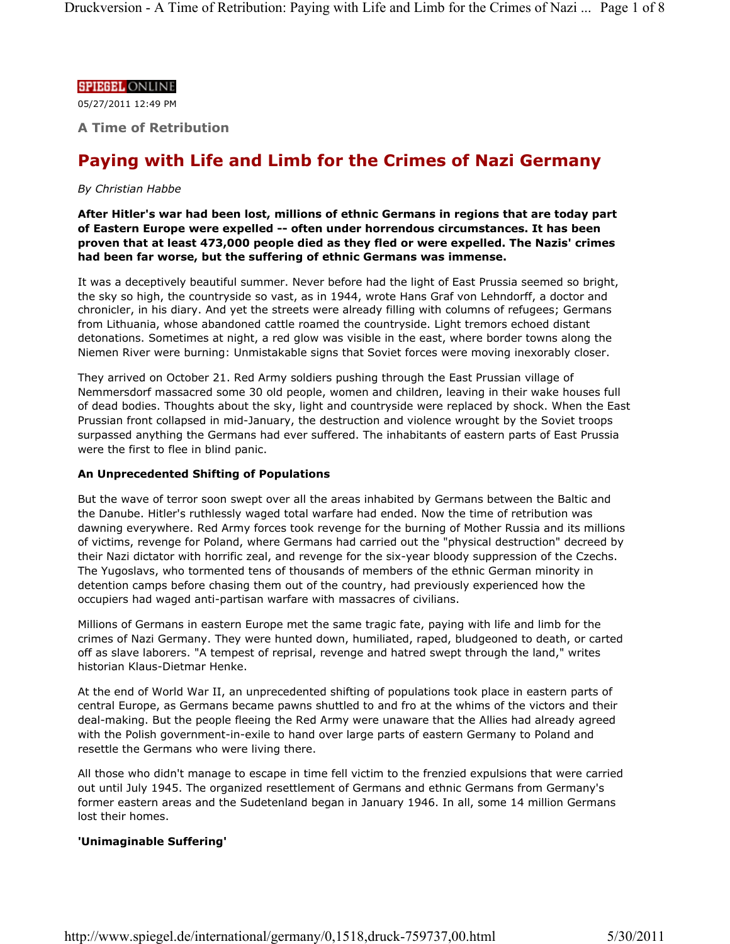#### **SPIEGEL ONLINE**

05/27/2011 12:49 PM

**A Time of Retribution**

# **Paying with Life and Limb for the Crimes of Nazi Germany**

# *By Christian Habbe*

**After Hitler's war had been lost, millions of ethnic Germans in regions that are today part of Eastern Europe were expelled -- often under horrendous circumstances. It has been proven that at least 473,000 people died as they fled or were expelled. The Nazis' crimes had been far worse, but the suffering of ethnic Germans was immense.** 

It was a deceptively beautiful summer. Never before had the light of East Prussia seemed so bright, the sky so high, the countryside so vast, as in 1944, wrote Hans Graf von Lehndorff, a doctor and chronicler, in his diary. And yet the streets were already filling with columns of refugees; Germans from Lithuania, whose abandoned cattle roamed the countryside. Light tremors echoed distant detonations. Sometimes at night, a red glow was visible in the east, where border towns along the Niemen River were burning: Unmistakable signs that Soviet forces were moving inexorably closer.

They arrived on October 21. Red Army soldiers pushing through the East Prussian village of Nemmersdorf massacred some 30 old people, women and children, leaving in their wake houses full of dead bodies. Thoughts about the sky, light and countryside were replaced by shock. When the East Prussian front collapsed in mid-January, the destruction and violence wrought by the Soviet troops surpassed anything the Germans had ever suffered. The inhabitants of eastern parts of East Prussia were the first to flee in blind panic.

#### **An Unprecedented Shifting of Populations**

But the wave of terror soon swept over all the areas inhabited by Germans between the Baltic and the Danube. Hitler's ruthlessly waged total warfare had ended. Now the time of retribution was dawning everywhere. Red Army forces took revenge for the burning of Mother Russia and its millions of victims, revenge for Poland, where Germans had carried out the "physical destruction" decreed by their Nazi dictator with horrific zeal, and revenge for the six-year bloody suppression of the Czechs. The Yugoslavs, who tormented tens of thousands of members of the ethnic German minority in detention camps before chasing them out of the country, had previously experienced how the occupiers had waged anti-partisan warfare with massacres of civilians.

Millions of Germans in eastern Europe met the same tragic fate, paying with life and limb for the crimes of Nazi Germany. They were hunted down, humiliated, raped, bludgeoned to death, or carted off as slave laborers. "A tempest of reprisal, revenge and hatred swept through the land," writes historian Klaus-Dietmar Henke.

At the end of World War II, an unprecedented shifting of populations took place in eastern parts of central Europe, as Germans became pawns shuttled to and fro at the whims of the victors and their deal-making. But the people fleeing the Red Army were unaware that the Allies had already agreed with the Polish government-in-exile to hand over large parts of eastern Germany to Poland and resettle the Germans who were living there.

All those who didn't manage to escape in time fell victim to the frenzied expulsions that were carried out until July 1945. The organized resettlement of Germans and ethnic Germans from Germany's former eastern areas and the Sudetenland began in January 1946. In all, some 14 million Germans lost their homes.

# **'Unimaginable Suffering'**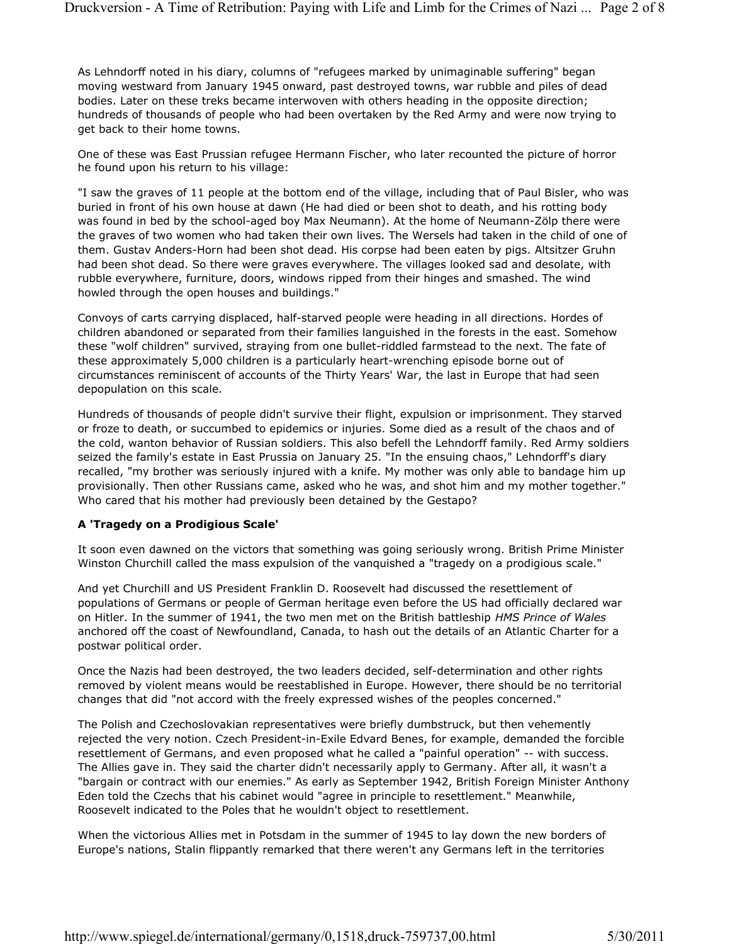As Lehndorff noted in his diary, columns of "refugees marked by unimaginable suffering" began moving westward from January 1945 onward, past destroyed towns, war rubble and piles of dead bodies. Later on these treks became interwoven with others heading in the opposite direction; hundreds of thousands of people who had been overtaken by the Red Army and were now trying to get back to their home towns.

One of these was East Prussian refugee Hermann Fischer, who later recounted the picture of horror he found upon his return to his village:

"I saw the graves of 11 people at the bottom end of the village, including that of Paul Bisler, who was buried in front of his own house at dawn (He had died or been shot to death, and his rotting body was found in bed by the school-aged boy Max Neumann). At the home of Neumann-Zölp there were the graves of two women who had taken their own lives. The Wersels had taken in the child of one of them. Gustav Anders-Horn had been shot dead. His corpse had been eaten by pigs. Altsitzer Gruhn had been shot dead. So there were graves everywhere. The villages looked sad and desolate, with rubble everywhere, furniture, doors, windows ripped from their hinges and smashed. The wind howled through the open houses and buildings."

Convoys of carts carrying displaced, half-starved people were heading in all directions. Hordes of children abandoned or separated from their families languished in the forests in the east. Somehow these "wolf children" survived, straying from one bullet-riddled farmstead to the next. The fate of these approximately 5,000 children is a particularly heart-wrenching episode borne out of circumstances reminiscent of accounts of the Thirty Years' War, the last in Europe that had seen depopulation on this scale.

Hundreds of thousands of people didn't survive their flight, expulsion or imprisonment. They starved or froze to death, or succumbed to epidemics or injuries. Some died as a result of the chaos and of the cold, wanton behavior of Russian soldiers. This also befell the Lehndorff family. Red Army soldiers seized the family's estate in East Prussia on January 25. "In the ensuing chaos," Lehndorff's diary recalled, "my brother was seriously injured with a knife. My mother was only able to bandage him up provisionally. Then other Russians came, asked who he was, and shot him and my mother together." Who cared that his mother had previously been detained by the Gestapo?

# **A 'Tragedy on a Prodigious Scale'**

It soon even dawned on the victors that something was going seriously wrong. British Prime Minister Winston Churchill called the mass expulsion of the vanquished a "tragedy on a prodigious scale."

And yet Churchill and US President Franklin D. Roosevelt had discussed the resettlement of populations of Germans or people of German heritage even before the US had officially declared war on Hitler. In the summer of 1941, the two men met on the British battleship *HMS Prince of Wales* anchored off the coast of Newfoundland, Canada, to hash out the details of an Atlantic Charter for a postwar political order.

Once the Nazis had been destroyed, the two leaders decided, self-determination and other rights removed by violent means would be reestablished in Europe. However, there should be no territorial changes that did "not accord with the freely expressed wishes of the peoples concerned."

The Polish and Czechoslovakian representatives were briefly dumbstruck, but then vehemently rejected the very notion. Czech President-in-Exile Edvard Benes, for example, demanded the forcible resettlement of Germans, and even proposed what he called a "painful operation" -- with success. The Allies gave in. They said the charter didn't necessarily apply to Germany. After all, it wasn't a "bargain or contract with our enemies." As early as September 1942, British Foreign Minister Anthony Eden told the Czechs that his cabinet would "agree in principle to resettlement." Meanwhile, Roosevelt indicated to the Poles that he wouldn't object to resettlement.

When the victorious Allies met in Potsdam in the summer of 1945 to lay down the new borders of Europe's nations, Stalin flippantly remarked that there weren't any Germans left in the territories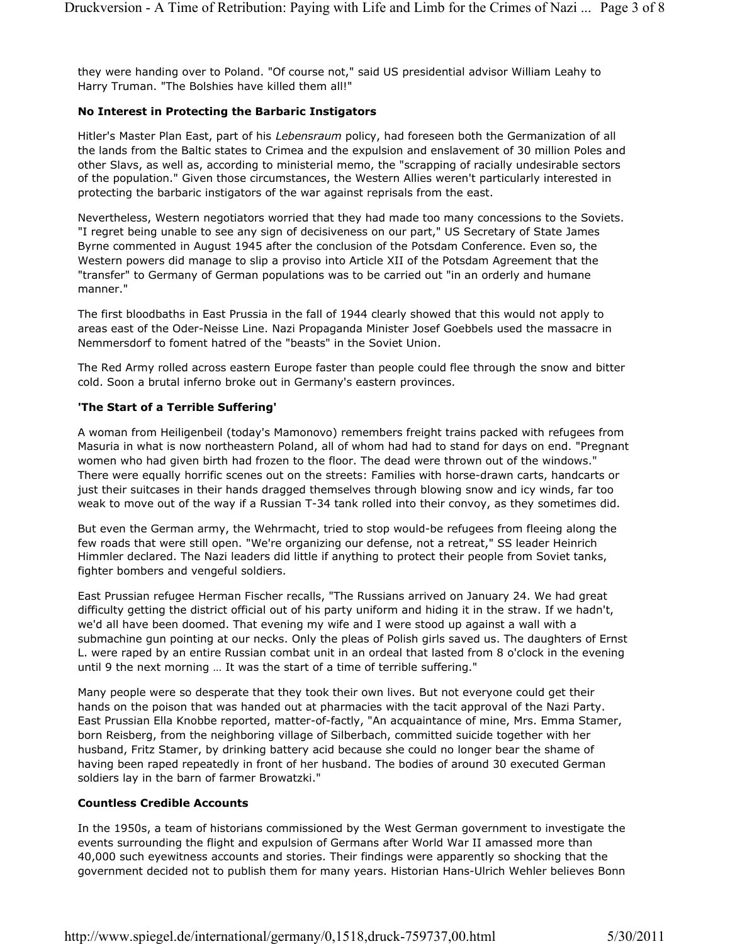they were handing over to Poland. "Of course not," said US presidential advisor William Leahy to Harry Truman. "The Bolshies have killed them all!"

# **No Interest in Protecting the Barbaric Instigators**

Hitler's Master Plan East, part of his *Lebensraum* policy, had foreseen both the Germanization of all the lands from the Baltic states to Crimea and the expulsion and enslavement of 30 million Poles and other Slavs, as well as, according to ministerial memo, the "scrapping of racially undesirable sectors of the population." Given those circumstances, the Western Allies weren't particularly interested in protecting the barbaric instigators of the war against reprisals from the east.

Nevertheless, Western negotiators worried that they had made too many concessions to the Soviets. "I regret being unable to see any sign of decisiveness on our part," US Secretary of State James Byrne commented in August 1945 after the conclusion of the Potsdam Conference. Even so, the Western powers did manage to slip a proviso into Article XII of the Potsdam Agreement that the "transfer" to Germany of German populations was to be carried out "in an orderly and humane manner."

The first bloodbaths in East Prussia in the fall of 1944 clearly showed that this would not apply to areas east of the Oder-Neisse Line. Nazi Propaganda Minister Josef Goebbels used the massacre in Nemmersdorf to foment hatred of the "beasts" in the Soviet Union.

The Red Army rolled across eastern Europe faster than people could flee through the snow and bitter cold. Soon a brutal inferno broke out in Germany's eastern provinces.

# **'The Start of a Terrible Suffering'**

A woman from Heiligenbeil (today's Mamonovo) remembers freight trains packed with refugees from Masuria in what is now northeastern Poland, all of whom had had to stand for days on end. "Pregnant women who had given birth had frozen to the floor. The dead were thrown out of the windows." There were equally horrific scenes out on the streets: Families with horse-drawn carts, handcarts or just their suitcases in their hands dragged themselves through blowing snow and icy winds, far too weak to move out of the way if a Russian T-34 tank rolled into their convoy, as they sometimes did.

But even the German army, the Wehrmacht, tried to stop would-be refugees from fleeing along the few roads that were still open. "We're organizing our defense, not a retreat," SS leader Heinrich Himmler declared. The Nazi leaders did little if anything to protect their people from Soviet tanks, fighter bombers and vengeful soldiers.

East Prussian refugee Herman Fischer recalls, "The Russians arrived on January 24. We had great difficulty getting the district official out of his party uniform and hiding it in the straw. If we hadn't, we'd all have been doomed. That evening my wife and I were stood up against a wall with a submachine gun pointing at our necks. Only the pleas of Polish girls saved us. The daughters of Ernst L. were raped by an entire Russian combat unit in an ordeal that lasted from 8 o'clock in the evening until 9 the next morning … It was the start of a time of terrible suffering."

Many people were so desperate that they took their own lives. But not everyone could get their hands on the poison that was handed out at pharmacies with the tacit approval of the Nazi Party. East Prussian Ella Knobbe reported, matter-of-factly, "An acquaintance of mine, Mrs. Emma Stamer, born Reisberg, from the neighboring village of Silberbach, committed suicide together with her husband, Fritz Stamer, by drinking battery acid because she could no longer bear the shame of having been raped repeatedly in front of her husband. The bodies of around 30 executed German soldiers lay in the barn of farmer Browatzki."

# **Countless Credible Accounts**

In the 1950s, a team of historians commissioned by the West German government to investigate the events surrounding the flight and expulsion of Germans after World War II amassed more than 40,000 such eyewitness accounts and stories. Their findings were apparently so shocking that the government decided not to publish them for many years. Historian Hans-Ulrich Wehler believes Bonn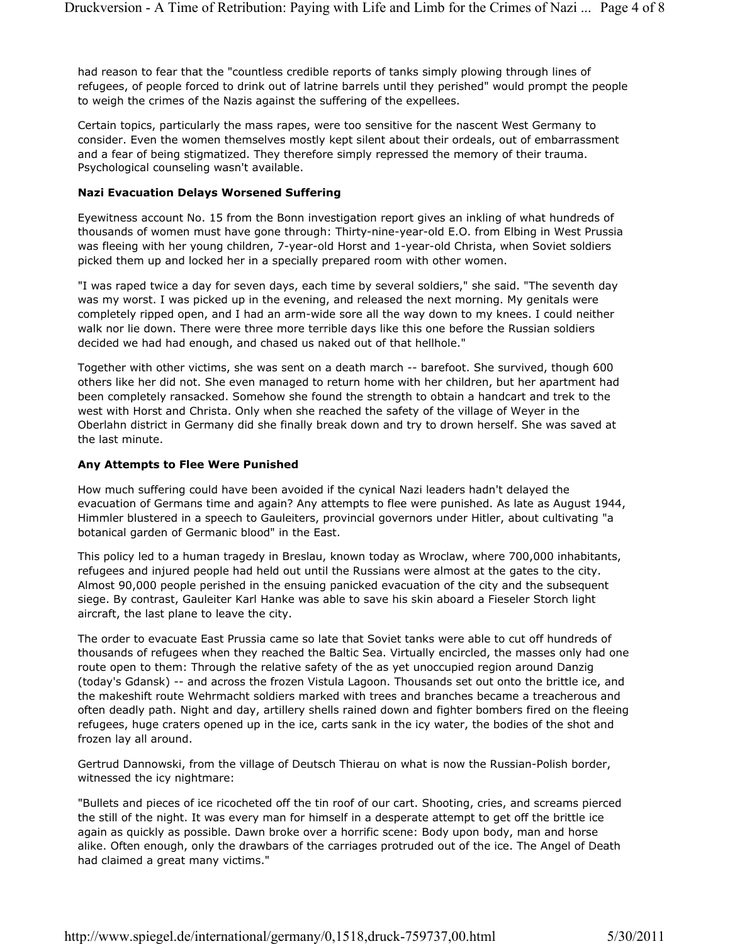had reason to fear that the "countless credible reports of tanks simply plowing through lines of refugees, of people forced to drink out of latrine barrels until they perished" would prompt the people to weigh the crimes of the Nazis against the suffering of the expellees.

Certain topics, particularly the mass rapes, were too sensitive for the nascent West Germany to consider. Even the women themselves mostly kept silent about their ordeals, out of embarrassment and a fear of being stigmatized. They therefore simply repressed the memory of their trauma. Psychological counseling wasn't available.

#### **Nazi Evacuation Delays Worsened Suffering**

Eyewitness account No. 15 from the Bonn investigation report gives an inkling of what hundreds of thousands of women must have gone through: Thirty-nine-year-old E.O. from Elbing in West Prussia was fleeing with her young children, 7-year-old Horst and 1-year-old Christa, when Soviet soldiers picked them up and locked her in a specially prepared room with other women.

"I was raped twice a day for seven days, each time by several soldiers," she said. "The seventh day was my worst. I was picked up in the evening, and released the next morning. My genitals were completely ripped open, and I had an arm-wide sore all the way down to my knees. I could neither walk nor lie down. There were three more terrible days like this one before the Russian soldiers decided we had had enough, and chased us naked out of that hellhole."

Together with other victims, she was sent on a death march -- barefoot. She survived, though 600 others like her did not. She even managed to return home with her children, but her apartment had been completely ransacked. Somehow she found the strength to obtain a handcart and trek to the west with Horst and Christa. Only when she reached the safety of the village of Weyer in the Oberlahn district in Germany did she finally break down and try to drown herself. She was saved at the last minute.

#### **Any Attempts to Flee Were Punished**

How much suffering could have been avoided if the cynical Nazi leaders hadn't delayed the evacuation of Germans time and again? Any attempts to flee were punished. As late as August 1944, Himmler blustered in a speech to Gauleiters, provincial governors under Hitler, about cultivating "a botanical garden of Germanic blood" in the East.

This policy led to a human tragedy in Breslau, known today as Wroclaw, where 700,000 inhabitants, refugees and injured people had held out until the Russians were almost at the gates to the city. Almost 90,000 people perished in the ensuing panicked evacuation of the city and the subsequent siege. By contrast, Gauleiter Karl Hanke was able to save his skin aboard a Fieseler Storch light aircraft, the last plane to leave the city.

The order to evacuate East Prussia came so late that Soviet tanks were able to cut off hundreds of thousands of refugees when they reached the Baltic Sea. Virtually encircled, the masses only had one route open to them: Through the relative safety of the as yet unoccupied region around Danzig (today's Gdansk) -- and across the frozen Vistula Lagoon. Thousands set out onto the brittle ice, and the makeshift route Wehrmacht soldiers marked with trees and branches became a treacherous and often deadly path. Night and day, artillery shells rained down and fighter bombers fired on the fleeing refugees, huge craters opened up in the ice, carts sank in the icy water, the bodies of the shot and frozen lay all around.

Gertrud Dannowski, from the village of Deutsch Thierau on what is now the Russian-Polish border, witnessed the icy nightmare:

"Bullets and pieces of ice ricocheted off the tin roof of our cart. Shooting, cries, and screams pierced the still of the night. It was every man for himself in a desperate attempt to get off the brittle ice again as quickly as possible. Dawn broke over a horrific scene: Body upon body, man and horse alike. Often enough, only the drawbars of the carriages protruded out of the ice. The Angel of Death had claimed a great many victims."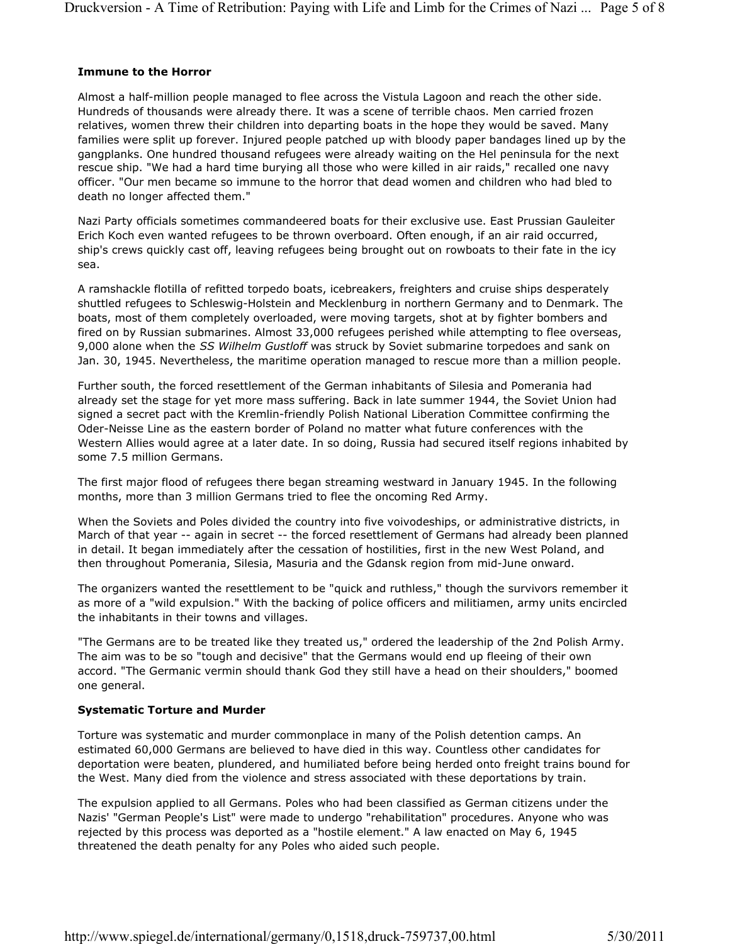#### **Immune to the Horror**

Almost a half-million people managed to flee across the Vistula Lagoon and reach the other side. Hundreds of thousands were already there. It was a scene of terrible chaos. Men carried frozen relatives, women threw their children into departing boats in the hope they would be saved. Many families were split up forever. Injured people patched up with bloody paper bandages lined up by the gangplanks. One hundred thousand refugees were already waiting on the Hel peninsula for the next rescue ship. "We had a hard time burying all those who were killed in air raids," recalled one navy officer. "Our men became so immune to the horror that dead women and children who had bled to death no longer affected them."

Nazi Party officials sometimes commandeered boats for their exclusive use. East Prussian Gauleiter Erich Koch even wanted refugees to be thrown overboard. Often enough, if an air raid occurred, ship's crews quickly cast off, leaving refugees being brought out on rowboats to their fate in the icy sea.

A ramshackle flotilla of refitted torpedo boats, icebreakers, freighters and cruise ships desperately shuttled refugees to Schleswig-Holstein and Mecklenburg in northern Germany and to Denmark. The boats, most of them completely overloaded, were moving targets, shot at by fighter bombers and fired on by Russian submarines. Almost 33,000 refugees perished while attempting to flee overseas, 9,000 alone when the *SS Wilhelm Gustloff* was struck by Soviet submarine torpedoes and sank on Jan. 30, 1945. Nevertheless, the maritime operation managed to rescue more than a million people.

Further south, the forced resettlement of the German inhabitants of Silesia and Pomerania had already set the stage for yet more mass suffering. Back in late summer 1944, the Soviet Union had signed a secret pact with the Kremlin-friendly Polish National Liberation Committee confirming the Oder-Neisse Line as the eastern border of Poland no matter what future conferences with the Western Allies would agree at a later date. In so doing, Russia had secured itself regions inhabited by some 7.5 million Germans.

The first major flood of refugees there began streaming westward in January 1945. In the following months, more than 3 million Germans tried to flee the oncoming Red Army.

When the Soviets and Poles divided the country into five voivodeships, or administrative districts, in March of that year -- again in secret -- the forced resettlement of Germans had already been planned in detail. It began immediately after the cessation of hostilities, first in the new West Poland, and then throughout Pomerania, Silesia, Masuria and the Gdansk region from mid-June onward.

The organizers wanted the resettlement to be "quick and ruthless," though the survivors remember it as more of a "wild expulsion." With the backing of police officers and militiamen, army units encircled the inhabitants in their towns and villages.

"The Germans are to be treated like they treated us," ordered the leadership of the 2nd Polish Army. The aim was to be so "tough and decisive" that the Germans would end up fleeing of their own accord. "The Germanic vermin should thank God they still have a head on their shoulders," boomed one general.

# **Systematic Torture and Murder**

Torture was systematic and murder commonplace in many of the Polish detention camps. An estimated 60,000 Germans are believed to have died in this way. Countless other candidates for deportation were beaten, plundered, and humiliated before being herded onto freight trains bound for the West. Many died from the violence and stress associated with these deportations by train.

The expulsion applied to all Germans. Poles who had been classified as German citizens under the Nazis' "German People's List" were made to undergo "rehabilitation" procedures. Anyone who was rejected by this process was deported as a "hostile element." A law enacted on May 6, 1945 threatened the death penalty for any Poles who aided such people.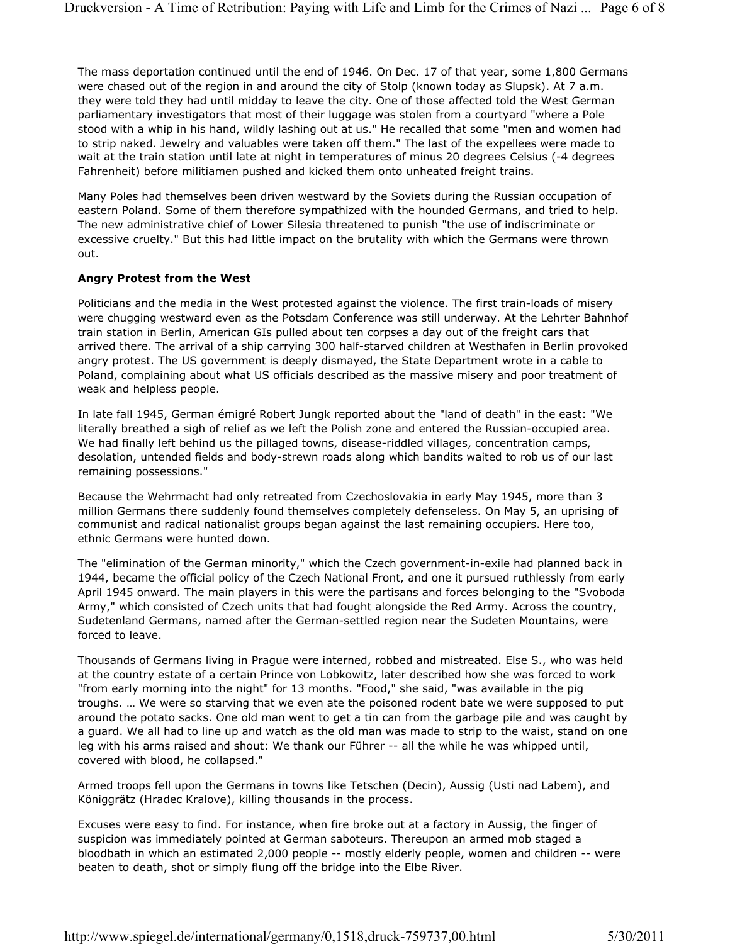The mass deportation continued until the end of 1946. On Dec. 17 of that year, some 1,800 Germans were chased out of the region in and around the city of Stolp (known today as Slupsk). At 7 a.m. they were told they had until midday to leave the city. One of those affected told the West German parliamentary investigators that most of their luggage was stolen from a courtyard "where a Pole stood with a whip in his hand, wildly lashing out at us." He recalled that some "men and women had to strip naked. Jewelry and valuables were taken off them." The last of the expellees were made to wait at the train station until late at night in temperatures of minus 20 degrees Celsius (-4 degrees Fahrenheit) before militiamen pushed and kicked them onto unheated freight trains.

Many Poles had themselves been driven westward by the Soviets during the Russian occupation of eastern Poland. Some of them therefore sympathized with the hounded Germans, and tried to help. The new administrative chief of Lower Silesia threatened to punish "the use of indiscriminate or excessive cruelty." But this had little impact on the brutality with which the Germans were thrown out.

# **Angry Protest from the West**

Politicians and the media in the West protested against the violence. The first train-loads of misery were chugging westward even as the Potsdam Conference was still underway. At the Lehrter Bahnhof train station in Berlin, American GIs pulled about ten corpses a day out of the freight cars that arrived there. The arrival of a ship carrying 300 half-starved children at Westhafen in Berlin provoked angry protest. The US government is deeply dismayed, the State Department wrote in a cable to Poland, complaining about what US officials described as the massive misery and poor treatment of weak and helpless people.

In late fall 1945, German émigré Robert Jungk reported about the "land of death" in the east: "We literally breathed a sigh of relief as we left the Polish zone and entered the Russian-occupied area. We had finally left behind us the pillaged towns, disease-riddled villages, concentration camps, desolation, untended fields and body-strewn roads along which bandits waited to rob us of our last remaining possessions."

Because the Wehrmacht had only retreated from Czechoslovakia in early May 1945, more than 3 million Germans there suddenly found themselves completely defenseless. On May 5, an uprising of communist and radical nationalist groups began against the last remaining occupiers. Here too, ethnic Germans were hunted down.

The "elimination of the German minority," which the Czech government-in-exile had planned back in 1944, became the official policy of the Czech National Front, and one it pursued ruthlessly from early April 1945 onward. The main players in this were the partisans and forces belonging to the "Svoboda Army," which consisted of Czech units that had fought alongside the Red Army. Across the country, Sudetenland Germans, named after the German-settled region near the Sudeten Mountains, were forced to leave.

Thousands of Germans living in Prague were interned, robbed and mistreated. Else S., who was held at the country estate of a certain Prince von Lobkowitz, later described how she was forced to work "from early morning into the night" for 13 months. "Food," she said, "was available in the pig troughs. … We were so starving that we even ate the poisoned rodent bate we were supposed to put around the potato sacks. One old man went to get a tin can from the garbage pile and was caught by a guard. We all had to line up and watch as the old man was made to strip to the waist, stand on one leg with his arms raised and shout: We thank our Führer -- all the while he was whipped until, covered with blood, he collapsed."

Armed troops fell upon the Germans in towns like Tetschen (Decin), Aussig (Usti nad Labem), and Königgrätz (Hradec Kralove), killing thousands in the process.

Excuses were easy to find. For instance, when fire broke out at a factory in Aussig, the finger of suspicion was immediately pointed at German saboteurs. Thereupon an armed mob staged a bloodbath in which an estimated 2,000 people -- mostly elderly people, women and children -- were beaten to death, shot or simply flung off the bridge into the Elbe River.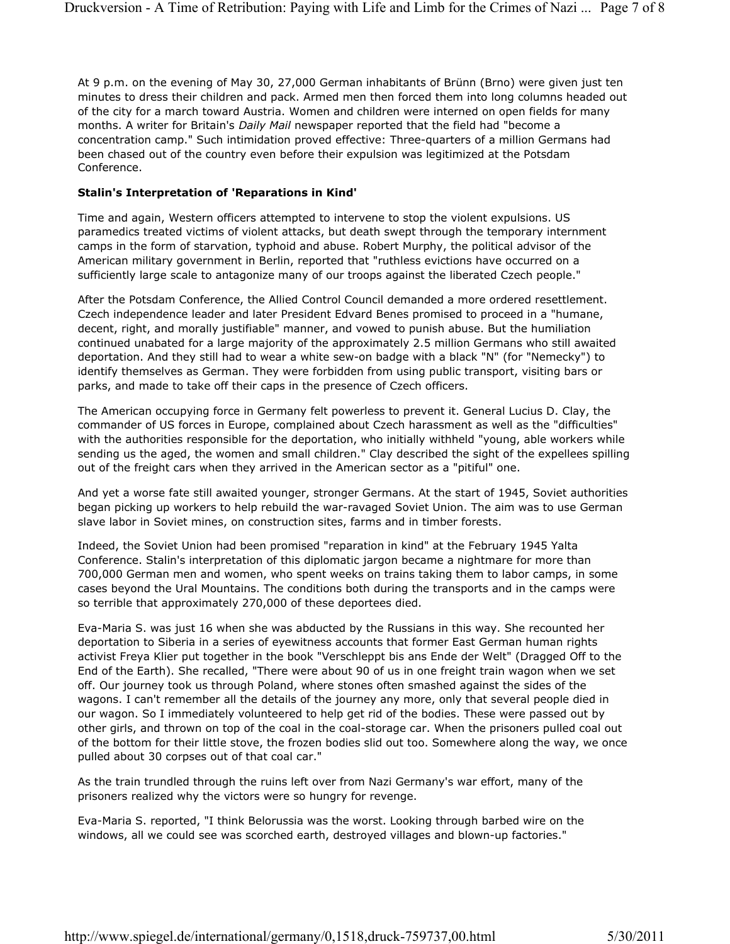At 9 p.m. on the evening of May 30, 27,000 German inhabitants of Brünn (Brno) were given just ten minutes to dress their children and pack. Armed men then forced them into long columns headed out of the city for a march toward Austria. Women and children were interned on open fields for many months. A writer for Britain's *Daily Mail* newspaper reported that the field had "become a concentration camp." Such intimidation proved effective: Three-quarters of a million Germans had been chased out of the country even before their expulsion was legitimized at the Potsdam Conference.

#### **Stalin's Interpretation of 'Reparations in Kind'**

Time and again, Western officers attempted to intervene to stop the violent expulsions. US paramedics treated victims of violent attacks, but death swept through the temporary internment camps in the form of starvation, typhoid and abuse. Robert Murphy, the political advisor of the American military government in Berlin, reported that "ruthless evictions have occurred on a sufficiently large scale to antagonize many of our troops against the liberated Czech people."

After the Potsdam Conference, the Allied Control Council demanded a more ordered resettlement. Czech independence leader and later President Edvard Benes promised to proceed in a "humane, decent, right, and morally justifiable" manner, and vowed to punish abuse. But the humiliation continued unabated for a large majority of the approximately 2.5 million Germans who still awaited deportation. And they still had to wear a white sew-on badge with a black "N" (for "Nemecky") to identify themselves as German. They were forbidden from using public transport, visiting bars or parks, and made to take off their caps in the presence of Czech officers.

The American occupying force in Germany felt powerless to prevent it. General Lucius D. Clay, the commander of US forces in Europe, complained about Czech harassment as well as the "difficulties" with the authorities responsible for the deportation, who initially withheld "young, able workers while sending us the aged, the women and small children." Clay described the sight of the expellees spilling out of the freight cars when they arrived in the American sector as a "pitiful" one.

And yet a worse fate still awaited younger, stronger Germans. At the start of 1945, Soviet authorities began picking up workers to help rebuild the war-ravaged Soviet Union. The aim was to use German slave labor in Soviet mines, on construction sites, farms and in timber forests.

Indeed, the Soviet Union had been promised "reparation in kind" at the February 1945 Yalta Conference. Stalin's interpretation of this diplomatic jargon became a nightmare for more than 700,000 German men and women, who spent weeks on trains taking them to labor camps, in some cases beyond the Ural Mountains. The conditions both during the transports and in the camps were so terrible that approximately 270,000 of these deportees died.

Eva-Maria S. was just 16 when she was abducted by the Russians in this way. She recounted her deportation to Siberia in a series of eyewitness accounts that former East German human rights activist Freya Klier put together in the book "Verschleppt bis ans Ende der Welt" (Dragged Off to the End of the Earth). She recalled, "There were about 90 of us in one freight train wagon when we set off. Our journey took us through Poland, where stones often smashed against the sides of the wagons. I can't remember all the details of the journey any more, only that several people died in our wagon. So I immediately volunteered to help get rid of the bodies. These were passed out by other girls, and thrown on top of the coal in the coal-storage car. When the prisoners pulled coal out of the bottom for their little stove, the frozen bodies slid out too. Somewhere along the way, we once pulled about 30 corpses out of that coal car."

As the train trundled through the ruins left over from Nazi Germany's war effort, many of the prisoners realized why the victors were so hungry for revenge.

Eva-Maria S. reported, "I think Belorussia was the worst. Looking through barbed wire on the windows, all we could see was scorched earth, destroyed villages and blown-up factories."